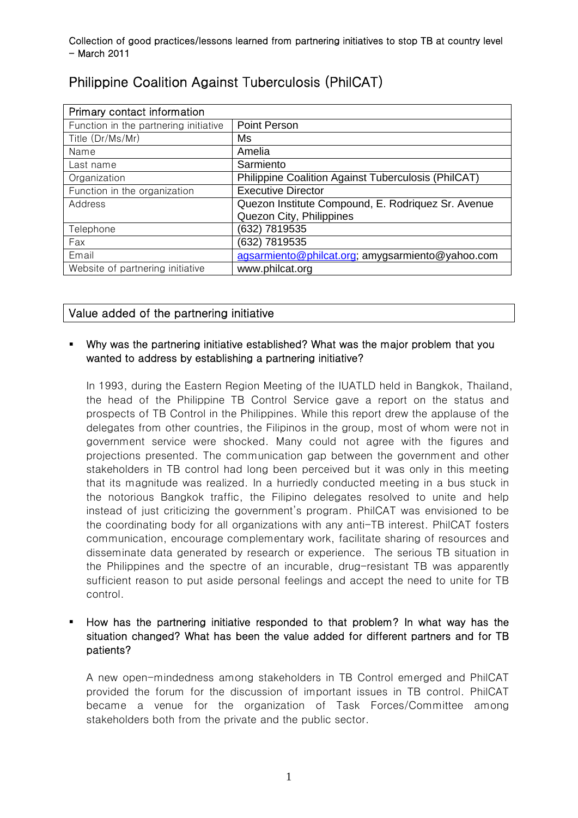| Primary contact information           |                                                     |
|---------------------------------------|-----------------------------------------------------|
| Function in the partnering initiative | Point Person                                        |
| Title (Dr/Ms/Mr)                      | Ms                                                  |
| Name                                  | Amelia                                              |
| Last name                             | Sarmiento                                           |
| Organization                          | Philippine Coalition Against Tuberculosis (PhilCAT) |
| Function in the organization          | <b>Executive Director</b>                           |
| Address                               | Quezon Institute Compound, E. Rodriquez Sr. Avenue  |
|                                       | Quezon City, Philippines                            |
| Telephone                             | (632) 7819535                                       |
| Fax                                   | (632) 7819535                                       |
| Email                                 | agsarmiento@philcat.org; amygsarmiento@yahoo.com    |
| Website of partnering initiative      | www.philcat.org                                     |

# Philippine Coalition Against Tuberculosis (PhilCAT)

# Value added of the partnering initiative

## Why was the partnering initiative established? What was the major problem that you wanted to address by establishing a partnering initiative?

In 1993, during the Eastern Region Meeting of the IUATLD held in Bangkok, Thailand, the head of the Philippine TB Control Service gave a report on the status and prospects of TB Control in the Philippines. While this report drew the applause of the delegates from other countries, the Filipinos in the group, most of whom were not in government service were shocked. Many could not agree with the figures and projections presented. The communication gap between the government and other stakeholders in TB control had long been perceived but it was only in this meeting that its magnitude was realized. In a hurriedly conducted meeting in a bus stuck in the notorious Bangkok traffic, the Filipino delegates resolved to unite and help instead of just criticizing the government's program. PhilCAT was envisioned to be the coordinating body for all organizations with any anti-TB interest. PhilCAT fosters communication, encourage complementary work, facilitate sharing of resources and disseminate data generated by research or experience. The serious TB situation in the Philippines and the spectre of an incurable, drug-resistant TB was apparently sufficient reason to put aside personal feelings and accept the need to unite for TB control.

# How has the partnering initiative responded to that problem? In what way has the situation changed? What has been the value added for different partners and for TB patients?

A new open-mindedness among stakeholders in TB Control emerged and PhilCAT provided the forum for the discussion of important issues in TB control. PhilCAT became a venue for the organization of Task Forces/Committee among stakeholders both from the private and the public sector.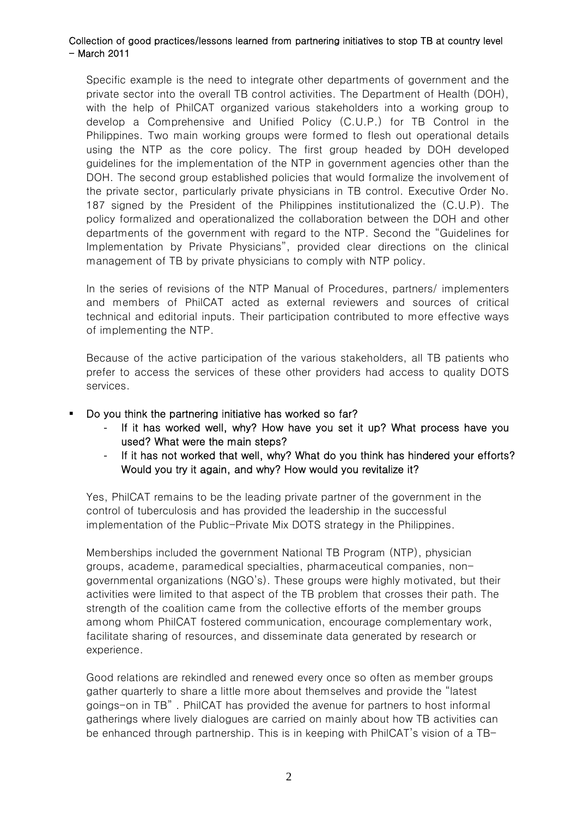Specific example is the need to integrate other departments of government and the private sector into the overall TB control activities. The Department of Health (DOH), with the help of PhilCAT organized various stakeholders into a working group to develop a Comprehensive and Unified Policy (C.U.P.) for TB Control in the Philippines. Two main working groups were formed to flesh out operational details using the NTP as the core policy. The first group headed by DOH developed guidelines for the implementation of the NTP in government agencies other than the DOH. The second group established policies that would formalize the involvement of the private sector, particularly private physicians in TB control. Executive Order No. 187 signed by the President of the Philippines institutionalized the (C.U.P). The policy formalized and operationalized the collaboration between the DOH and other departments of the government with regard to the NTP. Second the "Guidelines for Implementation by Private Physicians", provided clear directions on the clinical management of TB by private physicians to comply with NTP policy.

In the series of revisions of the NTP Manual of Procedures, partners/ implementers and members of PhilCAT acted as external reviewers and sources of critical technical and editorial inputs. Their participation contributed to more effective ways of implementing the NTP.

Because of the active participation of the various stakeholders, all TB patients who prefer to access the services of these other providers had access to quality DOTS services.

#### Do you think the partnering initiative has worked so far?

- If it has worked well, why? How have you set it up? What process have you used? What were the main steps?
- If it has not worked that well, why? What do you think has hindered your efforts? Would you try it again, and why? How would you revitalize it?

Yes, PhilCAT remains to be the leading private partner of the government in the control of tuberculosis and has provided the leadership in the successful implementation of the Public-Private Mix DOTS strategy in the Philippines.

Memberships included the government National TB Program (NTP), physician groups, academe, paramedical specialties, pharmaceutical companies, nongovernmental organizations (NGO's). These groups were highly motivated, but their activities were limited to that aspect of the TB problem that crosses their path. The strength of the coalition came from the collective efforts of the member groups among whom PhilCAT fostered communication, encourage complementary work, facilitate sharing of resources, and disseminate data generated by research or experience.

Good relations are rekindled and renewed every once so often as member groups gather quarterly to share a little more about themselves and provide the "latest goings-on in TB" . PhilCAT has provided the avenue for partners to host informal gatherings where lively dialogues are carried on mainly about how TB activities can be enhanced through partnership. This is in keeping with PhilCAT's vision of a TB-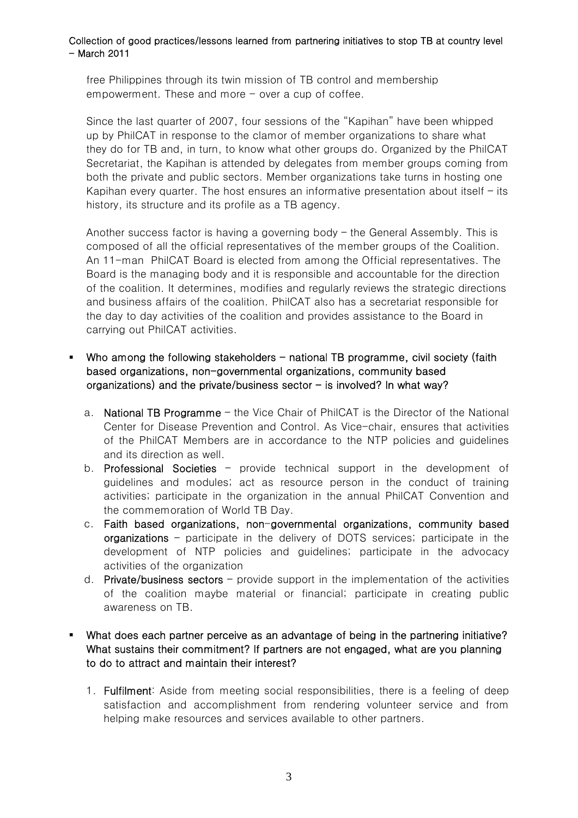free Philippines through its twin mission of TB control and membership empowerment. These and more  $-$  over a cup of coffee.

Since the last quarter of 2007, four sessions of the "Kapihan" have been whipped up by PhilCAT in response to the clamor of member organizations to share what they do for TB and, in turn, to know what other groups do. Organized by the PhilCAT Secretariat, the Kapihan is attended by delegates from member groups coming from both the private and public sectors. Member organizations take turns in hosting one Kapihan every quarter. The host ensures an informative presentation about itself – its history, its structure and its profile as a TB agency.

Another success factor is having a governing body – the General Assembly. This is composed of all the official representatives of the member groups of the Coalition. An 11-man PhilCAT Board is elected from among the Official representatives. The Board is the managing body and it is responsible and accountable for the direction of the coalition. It determines, modifies and regularly reviews the strategic directions and business affairs of the coalition. PhilCAT also has a secretariat responsible for the day to day activities of the coalition and provides assistance to the Board in carrying out PhilCAT activities.

## Who among the following stakeholders  $-$  national TB programme, civil society (faith based organizations, non-governmental organizations, community based organizations) and the private/business sector  $-$  is involved? In what way?

- a. National TB Programme the Vice Chair of PhilCAT is the Director of the National Center for Disease Prevention and Control. As Vice-chair, ensures that activities of the PhilCAT Members are in accordance to the NTP policies and guidelines and its direction as well.
- b. Professional Societies provide technical support in the development of guidelines and modules; act as resource person in the conduct of training activities; participate in the organization in the annual PhilCAT Convention and the commemoration of World TB Day.
- c. Faith based organizations, non-governmental organizations, community based organizations – participate in the delivery of DOTS services; participate in the development of NTP policies and guidelines; participate in the advocacy activities of the organization
- d. **Private/business sectors**  $-\rho$  provide support in the implementation of the activities of the coalition maybe material or financial; participate in creating public awareness on TB.

# What does each partner perceive as an advantage of being in the partnering initiative? What sustains their commitment? If partners are not engaged, what are you planning to do to attract and maintain their interest?

1. Fulfilment: Aside from meeting social responsibilities, there is a feeling of deep satisfaction and accomplishment from rendering volunteer service and from helping make resources and services available to other partners.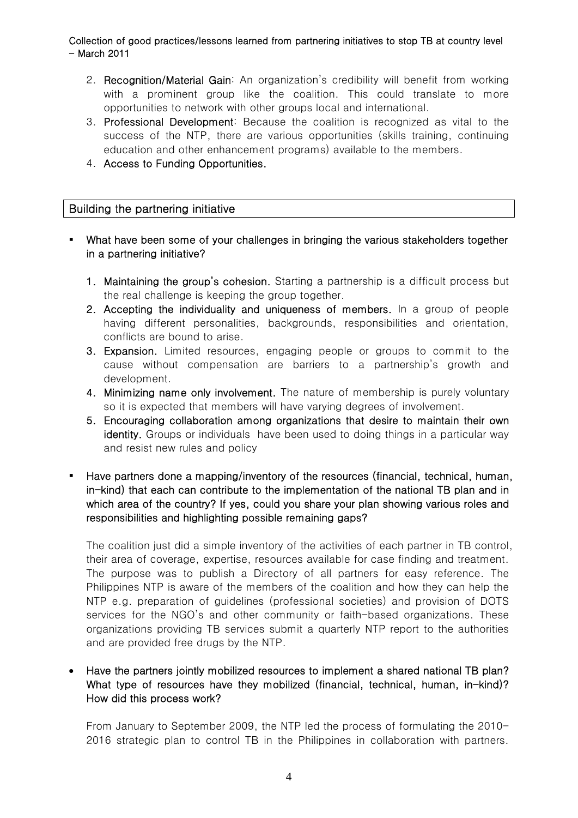- 2. Recognition/Material Gain: An organization's credibility will benefit from working with a prominent group like the coalition. This could translate to more opportunities to network with other groups local and international.
- 3. Professional Development: Because the coalition is recognized as vital to the success of the NTP, there are various opportunities (skills training, continuing education and other enhancement programs) available to the members.
- 4. Access to Funding Opportunities.

# Building the partnering initiative

- What have been some of your challenges in bringing the various stakeholders together in a partnering initiative?
	- 1. Maintaining the group's cohesion. Starting a partnership is a difficult process but the real challenge is keeping the group together.
	- 2. Accepting the individuality and uniqueness of members. In a group of people having different personalities, backgrounds, responsibilities and orientation, conflicts are bound to arise.
	- 3. Expansion. Limited resources, engaging people or groups to commit to the cause without compensation are barriers to a partnership's growth and development.
	- 4. Minimizing name only involvement. The nature of membership is purely voluntary so it is expected that members will have varying degrees of involvement.
	- 5. Encouraging collaboration among organizations that desire to maintain their own identity. Groups or individuals have been used to doing things in a particular way and resist new rules and policy
- Have partners done a mapping/inventory of the resources (financial, technical, human, in-kind) that each can contribute to the implementation of the national TB plan and in which area of the country? If yes, could you share your plan showing various roles and responsibilities and highlighting possible remaining gaps?

The coalition just did a simple inventory of the activities of each partner in TB control, their area of coverage, expertise, resources available for case finding and treatment. The purpose was to publish a Directory of all partners for easy reference. The Philippines NTP is aware of the members of the coalition and how they can help the NTP e.g. preparation of guidelines (professional societies) and provision of DOTS services for the NGO's and other community or faith-based organizations. These organizations providing TB services submit a quarterly NTP report to the authorities and are provided free drugs by the NTP.

• Have the partners jointly mobilized resources to implement a shared national TB plan? What type of resources have they mobilized (financial, technical, human, in-kind)? How did this process work?

From January to September 2009, the NTP led the process of formulating the 2010- 2016 strategic plan to control TB in the Philippines in collaboration with partners.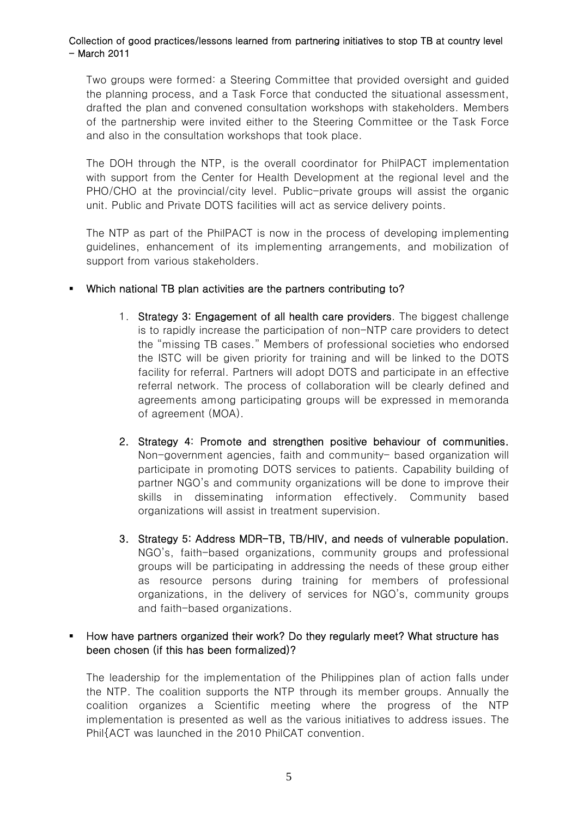Two groups were formed: a Steering Committee that provided oversight and guided the planning process, and a Task Force that conducted the situational assessment, drafted the plan and convened consultation workshops with stakeholders. Members of the partnership were invited either to the Steering Committee or the Task Force and also in the consultation workshops that took place.

The DOH through the NTP, is the overall coordinator for PhilPACT implementation with support from the Center for Health Development at the regional level and the PHO/CHO at the provincial/city level. Public-private groups will assist the organic unit. Public and Private DOTS facilities will act as service delivery points.

The NTP as part of the PhilPACT is now in the process of developing implementing guidelines, enhancement of its implementing arrangements, and mobilization of support from various stakeholders.

- Which national TB plan activities are the partners contributing to?
	- 1. Strategy 3: Engagement of all health care providers. The biggest challenge is to rapidly increase the participation of non-NTP care providers to detect the "missing TB cases." Members of professional societies who endorsed the ISTC will be given priority for training and will be linked to the DOTS facility for referral. Partners will adopt DOTS and participate in an effective referral network. The process of collaboration will be clearly defined and agreements among participating groups will be expressed in memoranda of agreement (MOA).
	- 2. Strategy 4: Promote and strengthen positive behaviour of communities. Non-government agencies, faith and community- based organization will participate in promoting DOTS services to patients. Capability building of partner NGO's and community organizations will be done to improve their skills in disseminating information effectively. Community based organizations will assist in treatment supervision.
	- 3. Strategy 5: Address MDR-TB, TB/HIV, and needs of vulnerable population. NGO's, faith-based organizations, community groups and professional groups will be participating in addressing the needs of these group either as resource persons during training for members of professional organizations, in the delivery of services for NGO's, community groups and faith-based organizations.

#### How have partners organized their work? Do they regularly meet? What structure has been chosen (if this has been formalized)?

The leadership for the implementation of the Philippines plan of action falls under the NTP. The coalition supports the NTP through its member groups. Annually the coalition organizes a Scientific meeting where the progress of the NTP implementation is presented as well as the various initiatives to address issues. The Phil{ACT was launched in the 2010 PhilCAT convention.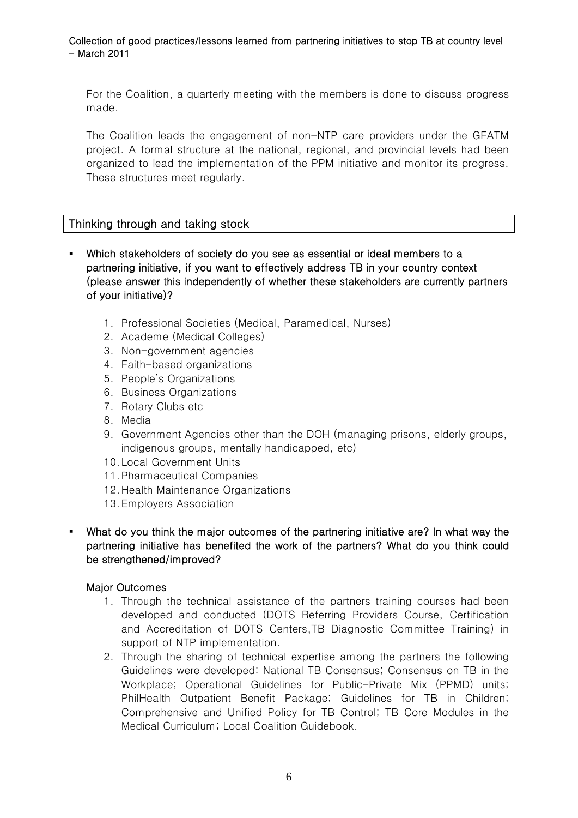For the Coalition, a quarterly meeting with the members is done to discuss progress made.

The Coalition leads the engagement of non-NTP care providers under the GFATM project. A formal structure at the national, regional, and provincial levels had been organized to lead the implementation of the PPM initiative and monitor its progress. These structures meet regularly.

# Thinking through and taking stock

- Which stakeholders of society do you see as essential or ideal members to a partnering initiative, if you want to effectively address TB in your country context (please answer this independently of whether these stakeholders are currently partners of your initiative)?
	- 1. Professional Societies (Medical, Paramedical, Nurses)
	- 2. Academe (Medical Colleges)
	- 3. Non-government agencies
	- 4. Faith-based organizations
	- 5. People's Organizations
	- 6. Business Organizations
	- 7. Rotary Clubs etc
	- 8. Media
	- 9. Government Agencies other than the DOH (managing prisons, elderly groups, indigenous groups, mentally handicapped, etc)
	- 10.Local Government Units
	- 11.Pharmaceutical Companies
	- 12.Health Maintenance Organizations
	- 13.Employers Association
- What do you think the major outcomes of the partnering initiative are? In what way the partnering initiative has benefited the work of the partners? What do you think could be strengthened/improved?

#### Major Outcomes

- 1. Through the technical assistance of the partners training courses had been developed and conducted (DOTS Referring Providers Course, Certification and Accreditation of DOTS Centers,TB Diagnostic Committee Training) in support of NTP implementation.
- 2. Through the sharing of technical expertise among the partners the following Guidelines were developed: National TB Consensus; Consensus on TB in the Workplace; Operational Guidelines for Public-Private Mix (PPMD) units; PhilHealth Outpatient Benefit Package; Guidelines for TB in Children; Comprehensive and Unified Policy for TB Control; TB Core Modules in the Medical Curriculum; Local Coalition Guidebook.